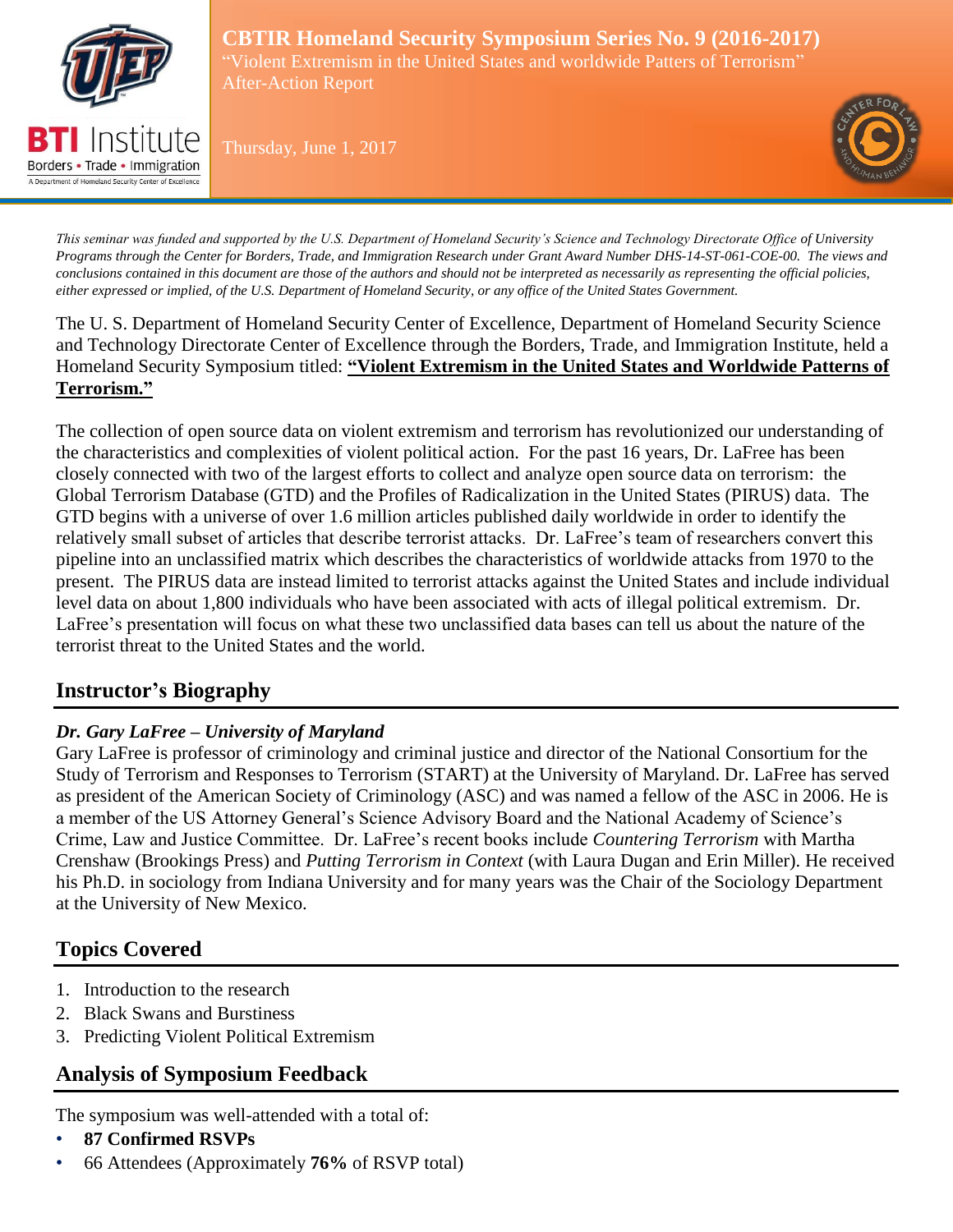

Borders • Trade • Immigration A Department of Homeland Security Center of Excelle

**CBTIR Homeland Security Symposium Series No. 9 (2016-2017)** "Violent Extremism in the United States and worldwide Patters of Terrorism" After-Action Report

Thursday, June 1, 2017



*This seminar was funded and supported by the U.S. Department of Homeland Security's Science and Technology Directorate Office of University Programs through the Center for Borders, Trade, and Immigration Research under Grant Award Number DHS-14-ST-061-COE-00. The views and conclusions contained in this document are those of the authors and should not be interpreted as necessarily as representing the official policies, either expressed or implied, of the U.S. Department of Homeland Security, or any office of the United States Government.*

The U. S. Department of Homeland Security Center of Excellence, Department of Homeland Security Science and Technology Directorate Center of Excellence through the Borders, Trade, and Immigration Institute, held a Homeland Security Symposium titled: **"Violent Extremism in the United States and Worldwide Patterns of Terrorism."** 

The collection of open source data on violent extremism and terrorism has revolutionized our understanding of the characteristics and complexities of violent political action. For the past 16 years, Dr. LaFree has been closely connected with two of the largest efforts to collect and analyze open source data on terrorism: the Global Terrorism Database (GTD) and the Profiles of Radicalization in the United States (PIRUS) data. The GTD begins with a universe of over 1.6 million articles published daily worldwide in order to identify the relatively small subset of articles that describe terrorist attacks. Dr. LaFree's team of researchers convert this pipeline into an unclassified matrix which describes the characteristics of worldwide attacks from 1970 to the present. The PIRUS data are instead limited to terrorist attacks against the United States and include individual level data on about 1,800 individuals who have been associated with acts of illegal political extremism. Dr. LaFree's presentation will focus on what these two unclassified data bases can tell us about the nature of the terrorist threat to the United States and the world.

# **Instructor's Biography**

# *Dr. Gary LaFree – University of Maryland*

Gary LaFree is professor of criminology and criminal justice and director of the National Consortium for the Study of Terrorism and Responses to Terrorism (START) at the University of Maryland. Dr. LaFree has served as president of the American Society of Criminology (ASC) and was named a fellow of the ASC in 2006. He is a member of the US Attorney General's Science Advisory Board and the National Academy of Science's Crime, Law and Justice Committee. Dr. LaFree's recent books include *Countering Terrorism* with Martha Crenshaw (Brookings Press) and *Putting Terrorism in Context* (with Laura Dugan and Erin Miller). He received his Ph.D. in sociology from Indiana University and for many years was the Chair of the Sociology Department at the University of New Mexico.

# **Topics Covered**

- 1. Introduction to the research
- 2. Black Swans and Burstiness
- 3. Predicting Violent Political Extremism

# **Analysis of Symposium Feedback**

The symposium was well-attended with a total of:

- **87 Confirmed RSVPs**
- 66 Attendees (Approximately **76%** of RSVP total)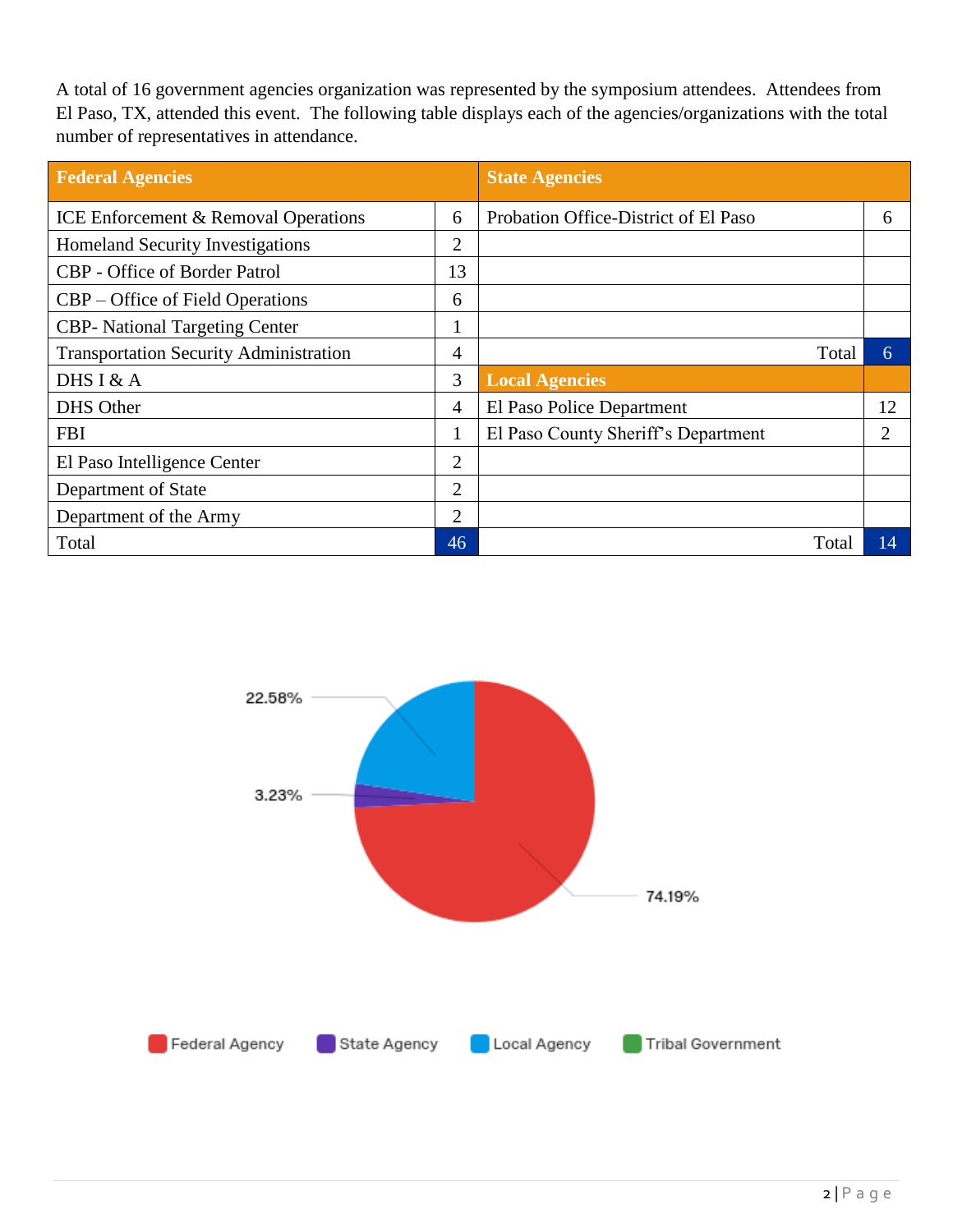A total of 16 government agencies organization was represented by the symposium attendees. Attendees from El Paso, TX, attended this event. The following table displays each of the agencies/organizations with the total number of representatives in attendance.

| <b>Federal Agencies</b>                         |                | <b>State Agencies</b>                |    |
|-------------------------------------------------|----------------|--------------------------------------|----|
| <b>ICE Enforcement &amp; Removal Operations</b> | 6              | Probation Office-District of El Paso | 6  |
| <b>Homeland Security Investigations</b>         | 2              |                                      |    |
| <b>CBP</b> - Office of Border Patrol            | 13             |                                      |    |
| CBP – Office of Field Operations                | 6              |                                      |    |
| <b>CBP-</b> National Targeting Center           |                |                                      |    |
| <b>Transportation Security Administration</b>   | 4              | Total                                | 6  |
| DHS I & A                                       | 3              | <b>Local Agencies</b>                |    |
| <b>DHS Other</b>                                | 4              | El Paso Police Department            | 12 |
| <b>FBI</b>                                      | $\mathbf{I}$   | El Paso County Sheriff's Department  | 2  |
| El Paso Intelligence Center                     | 2              |                                      |    |
| Department of State                             | $\overline{2}$ |                                      |    |
| Department of the Army                          | $\overline{2}$ |                                      |    |
| Total                                           | 46             | Total                                | 14 |

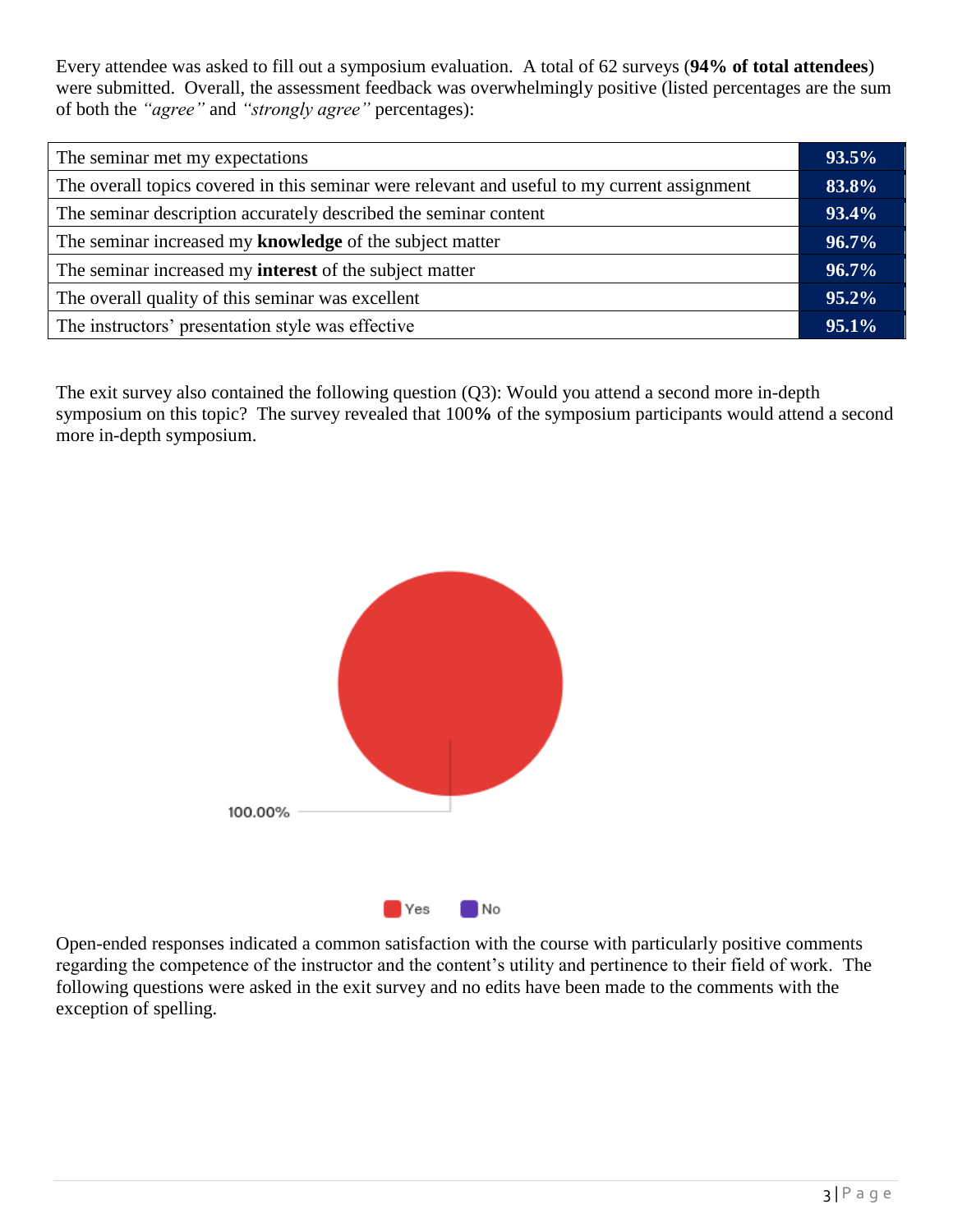Every attendee was asked to fill out a symposium evaluation. A total of 62 surveys (**94% of total attendees**) were submitted. Overall, the assessment feedback was overwhelmingly positive (listed percentages are the sum of both the *"agree"* and *"strongly agree"* percentages):

| The seminar met my expectations                                                              |  |
|----------------------------------------------------------------------------------------------|--|
| The overall topics covered in this seminar were relevant and useful to my current assignment |  |
| The seminar description accurately described the seminar content                             |  |
| The seminar increased my knowledge of the subject matter                                     |  |
| The seminar increased my <b>interest</b> of the subject matter                               |  |
| The overall quality of this seminar was excellent                                            |  |
| The instructors' presentation style was effective                                            |  |
|                                                                                              |  |

The exit survey also contained the following question (Q3): Would you attend a second more in-depth symposium on this topic? The survey revealed that 100**%** of the symposium participants would attend a second more in-depth symposium.



Open-ended responses indicated a common satisfaction with the course with particularly positive comments regarding the competence of the instructor and the content's utility and pertinence to their field of work. The following questions were asked in the exit survey and no edits have been made to the comments with the exception of spelling.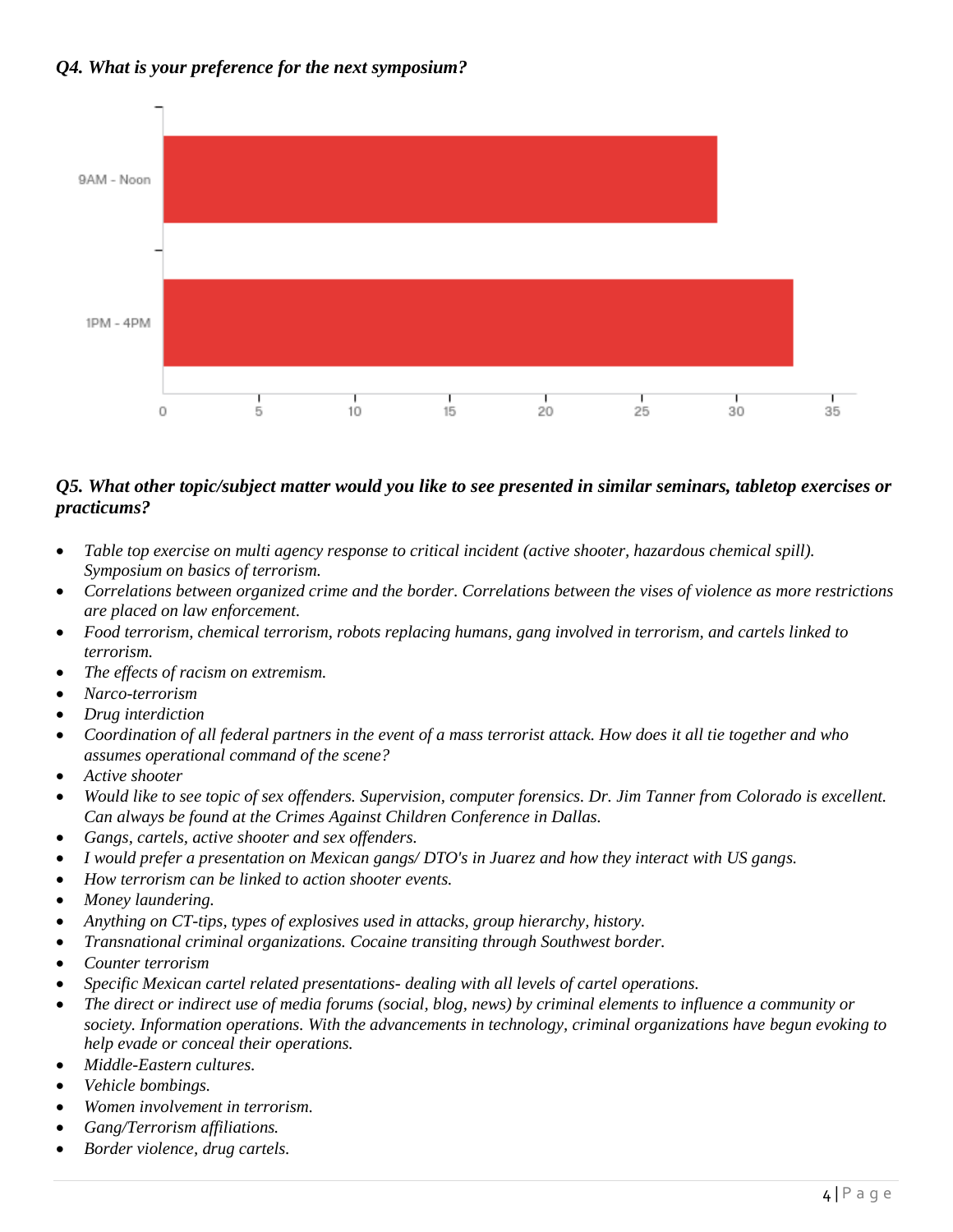#### *Q4. What is your preference for the next symposium?*



#### *Q5. What other topic/subject matter would you like to see presented in similar seminars, tabletop exercises or practicums?*

- *Table top exercise on multi agency response to critical incident (active shooter, hazardous chemical spill). Symposium on basics of terrorism.*
- *Correlations between organized crime and the border. Correlations between the vises of violence as more restrictions are placed on law enforcement.*
- *Food terrorism, chemical terrorism, robots replacing humans, gang involved in terrorism, and cartels linked to terrorism.*
- *The effects of racism on extremism.*
- *Narco-terrorism*
- *Drug interdiction*
- *Coordination of all federal partners in the event of a mass terrorist attack. How does it all tie together and who assumes operational command of the scene?*
- *Active shooter*
- *Would like to see topic of sex offenders. Supervision, computer forensics. Dr. Jim Tanner from Colorado is excellent. Can always be found at the Crimes Against Children Conference in Dallas.*
- *Gangs, cartels, active shooter and sex offenders.*
- *I would prefer a presentation on Mexican gangs/ DTO's in Juarez and how they interact with US gangs.*
- *How terrorism can be linked to action shooter events.*
- *Money laundering.*
- *Anything on CT-tips, types of explosives used in attacks, group hierarchy, history.*
- *Transnational criminal organizations. Cocaine transiting through Southwest border.*
- *Counter terrorism*
- *Specific Mexican cartel related presentations- dealing with all levels of cartel operations.*
- *The direct or indirect use of media forums (social, blog, news) by criminal elements to influence a community or society. Information operations. With the advancements in technology, criminal organizations have begun evoking to help evade or conceal their operations.*
- *Middle-Eastern cultures.*
- *Vehicle bombings.*
- *Women involvement in terrorism.*
- *Gang/Terrorism affiliations.*
- *Border violence, drug cartels.*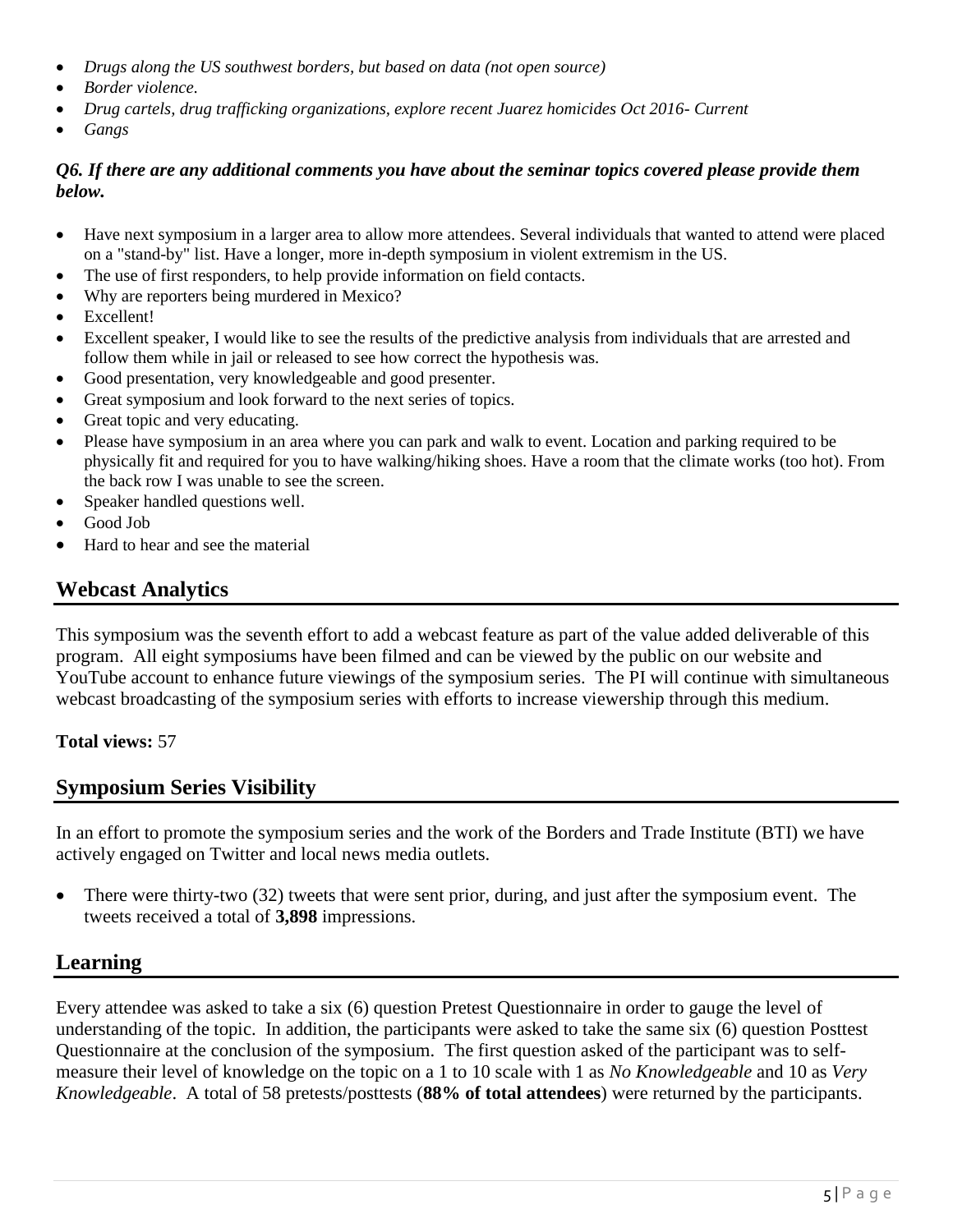- *Drugs along the US southwest borders, but based on data (not open source)*
- *Border violence.*
- *Drug cartels, drug trafficking organizations, explore recent Juarez homicides Oct 2016- Current*
- *Gangs*

#### *Q6. If there are any additional comments you have about the seminar topics covered please provide them below.*

- Have next symposium in a larger area to allow more attendees. Several individuals that wanted to attend were placed on a "stand-by" list. Have a longer, more in-depth symposium in violent extremism in the US.
- The use of first responders, to help provide information on field contacts.
- Why are reporters being murdered in Mexico?
- Excellent!
- Excellent speaker, I would like to see the results of the predictive analysis from individuals that are arrested and follow them while in jail or released to see how correct the hypothesis was.
- Good presentation, very knowledgeable and good presenter.
- Great symposium and look forward to the next series of topics.
- Great topic and very educating.
- Please have symposium in an area where you can park and walk to event. Location and parking required to be physically fit and required for you to have walking/hiking shoes. Have a room that the climate works (too hot). From the back row I was unable to see the screen.
- Speaker handled questions well.
- Good Job
- Hard to hear and see the material

# **Webcast Analytics**

This symposium was the seventh effort to add a webcast feature as part of the value added deliverable of this program. All eight symposiums have been filmed and can be viewed by the public on our website and YouTube account to enhance future viewings of the symposium series. The PI will continue with simultaneous webcast broadcasting of the symposium series with efforts to increase viewership through this medium.

#### **Total views:** 57

## **Symposium Series Visibility**

In an effort to promote the symposium series and the work of the Borders and Trade Institute (BTI) we have actively engaged on Twitter and local news media outlets.

• There were thirty-two (32) tweets that were sent prior, during, and just after the symposium event. The tweets received a total of **3,898** impressions.

## **Learning**

Every attendee was asked to take a six (6) question Pretest Questionnaire in order to gauge the level of understanding of the topic. In addition, the participants were asked to take the same six (6) question Posttest Questionnaire at the conclusion of the symposium. The first question asked of the participant was to selfmeasure their level of knowledge on the topic on a 1 to 10 scale with 1 as *No Knowledgeable* and 10 as *Very Knowledgeable*. A total of 58 pretests/posttests (**88% of total attendees**) were returned by the participants.